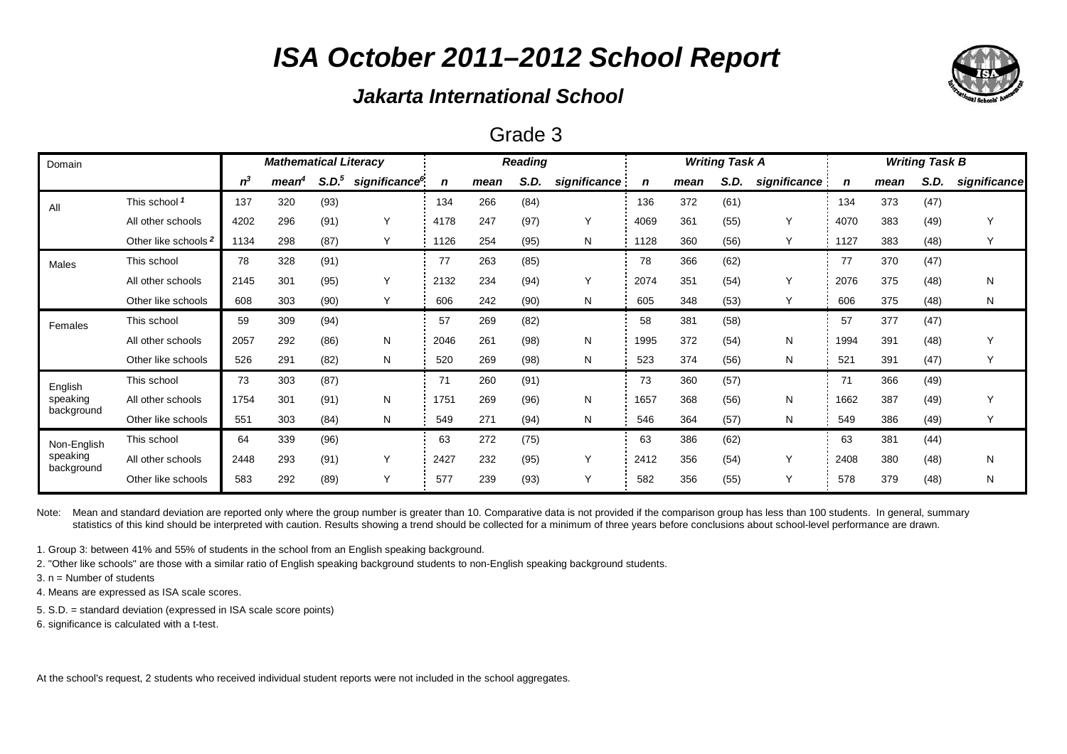### *Jakarta International School*

### Grade 3

| Domain                 | <b>Mathematical Literacy</b>    |       |                   |                   |                           |      | <b>Reading</b> |      |              |      | <b>Writing Task A</b> |      | <b>Writing Task B</b> |      |      |      |              |
|------------------------|---------------------------------|-------|-------------------|-------------------|---------------------------|------|----------------|------|--------------|------|-----------------------|------|-----------------------|------|------|------|--------------|
|                        |                                 | $n^3$ | mean <sup>4</sup> | S.D. <sup>5</sup> | significance <sup>6</sup> | n    | mean           | S.D. | significance |      | mean                  | S.D. | significance          | n    | mean | S.D. | significance |
| All                    | This school 1                   | 137   | 320               | (93)              |                           | 134  | 266            | (84) |              | 136  | 372                   | (61) |                       | 134  | 373  | (47) |              |
|                        | All other schools               | 4202  | 296               | (91)              | Y                         | 4178 | 247            | (97) | Y            | 4069 | 361                   | (55) | Υ                     | 4070 | 383  | (49) | Y            |
|                        | Other like schools <sup>2</sup> | 1134  | 298               | (87)              | Y                         | 1126 | 254            | (95) | N            | 1128 | 360                   | (56) | Y                     | 1127 | 383  | (48) | Y            |
| Males                  | This school                     | 78    | 328               | (91)              |                           | 77   | 263            | (85) |              | 78   | 366                   | (62) |                       | 77   | 370  | (47) |              |
|                        | All other schools               | 2145  | 301               | (95)              | Υ                         | 2132 | 234            | (94) | Y            | 2074 | 351                   | (54) | Υ                     | 2076 | 375  | (48) | N            |
|                        | Other like schools              | 608   | 303               | (90)              | Y                         | 606  | 242            | (90) | N            | 605  | 348                   | (53) | Y                     | 606  | 375  | (48) | N            |
| Females                | This school                     | 59    | 309               | (94)              |                           | 57   | 269            | (82) |              | 58   | 381                   | (58) |                       | 57   | 377  | (47) |              |
|                        | All other schools               | 2057  | 292               | (86)              | N                         | 2046 | 261            | (98) | N            | 1995 | 372                   | (54) | N                     | 1994 | 391  | (48) | Y            |
|                        | Other like schools              | 526   | 291               | (82)              | N                         | 520  | 269            | (98) | N            | 523  | 374                   | (56) | N                     | 521  | 391  | (47) | Y            |
| English                | This school                     | 73    | 303               | (87)              |                           | 71   | 260            | (91) |              | 73   | 360                   | (57) |                       | 71   | 366  | (49) |              |
| speaking               | All other schools               | 1754  | 301               | (91)              | N                         | 1751 | 269            | (96) | N            | 1657 | 368                   | (56) | N                     | 1662 | 387  | (49) | Y            |
| background             | Other like schools              | 551   | 303               | (84)              | N                         | 549  | 271            | (94) | N            | 546  | 364                   | (57) | N                     | 549  | 386  | (49) | Y            |
| Non-English            | This school                     | 64    | 339               | (96)              |                           | 63   | 272            | (75) |              | 63   | 386                   | (62) |                       | 63   | 381  | (44) |              |
| speaking<br>background | All other schools               | 2448  | 293               | (91)              | Υ                         | 2427 | 232            | (95) | Y            | 2412 | 356                   | (54) | Υ                     | 2408 | 380  | (48) | N            |
|                        | Other like schools              | 583   | 292               | (89)              | Y                         | 577  | 239            | (93) | Υ            | 582  | 356                   | (55) | Y                     | 578  | 379  | (48) | N            |

Note: Mean and standard deviation are reported only where the group number is greater than 10. Comparative data is not provided if the comparison group has less than 100 students. In general, summary statistics of this kind should be interpreted with caution. Results showing a trend should be collected for a minimum of three years before conclusions about school-level performance are drawn.

1. Group 3: between 41% and 55% of students in the school from an English speaking background.

2. "Other like schools" are those with a similar ratio of English speaking background students to non-English speaking background students.

3. n = Number of students

4. Means are expressed as ISA scale scores.

5. S.D. = standard deviation (expressed in ISA scale score points)

6. significance is calculated with a t-test.

At the school's request, 2 students who received individual student reports were not included in the school aggregates.

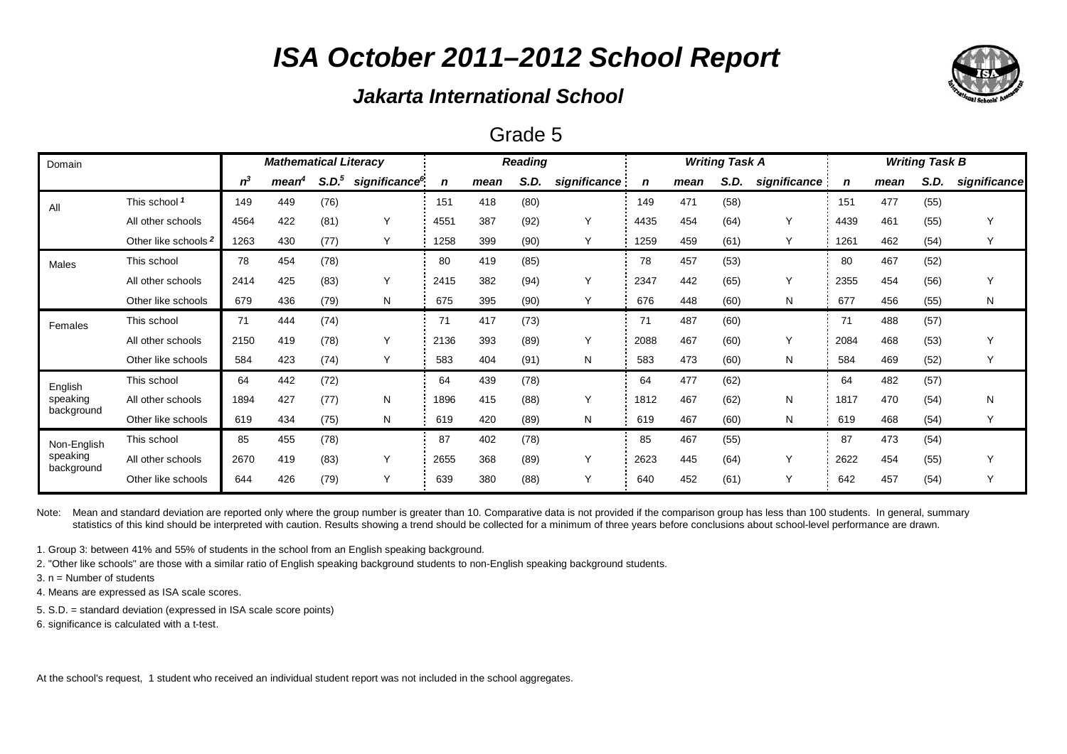### *Jakarta International School*

#### Grade 5

| Domain                 | <b>Mathematical Literacy</b>    |       |      |                   |                           | <b>Reading</b> |      |      |              | <b>Writing Task A</b> |      | <b>Writing Task B</b> |              |      |      |      |              |
|------------------------|---------------------------------|-------|------|-------------------|---------------------------|----------------|------|------|--------------|-----------------------|------|-----------------------|--------------|------|------|------|--------------|
|                        |                                 | $n^3$ | mean | S.D. <sup>5</sup> | significance <sup>6</sup> | n              | mean | S.D. | significance | n                     | mean | S.D.                  | significance | n    | mean | S.D. | significance |
| All                    | This school 1                   | 149   | 449  | (76)              |                           | 151            | 418  | (80) |              | 149                   | 471  | (58)                  |              | 151  | 477  | (55) |              |
|                        | All other schools               | 4564  | 422  | (81)              | $\checkmark$              | 4551           | 387  | (92) | Y            | 4435                  | 454  | (64)                  | $\checkmark$ | 4439 | 461  | (55) |              |
|                        | Other like schools <sup>2</sup> | 1263  | 430  | (77)              |                           | 1258           | 399  | (90) | Y            | 1259                  | 459  | (61)                  |              | 1261 | 462  | (54) |              |
| Males                  | This school                     | 78    | 454  | (78)              |                           | 80             | 419  | (85) |              | 78                    | 457  | (53)                  |              | 80   | 467  | (52) |              |
|                        | All other schools               | 2414  | 425  | (83)              | $\checkmark$              | 2415           | 382  | (94) | Y            | 2347                  | 442  | (65)                  | Y            | 2355 | 454  | (56) | Υ            |
|                        | Other like schools              | 679   | 436  | (79)              | N                         | 675            | 395  | (90) | Υ            | 676                   | 448  | (60)                  | N            | 677  | 456  | (55) | N            |
| Females                | This school                     | 71    | 444  | (74)              |                           | 71             | 417  | (73) |              | 71                    | 487  | (60)                  |              | 71   | 488  | (57) |              |
|                        | All other schools               | 2150  | 419  | (78)              | $\checkmark$              | 2136           | 393  | (89) | Y            | 2088                  | 467  | (60)                  | $\vee$       | 2084 | 468  | (53) |              |
|                        | Other like schools              | 584   | 423  | (74)              | Υ                         | 583            | 404  | (91) | N            | 583                   | 473  | (60)                  | N            | 584  | 469  | (52) |              |
| English                | This school                     | 64    | 442  | (72)              |                           | 64             | 439  | (78) |              | 64                    | 477  | (62)                  |              | 64   | 482  | (57) |              |
| speaking               | All other schools               | 1894  | 427  | (77)              | N                         | 1896           | 415  | (88) | Υ            | 1812                  | 467  | (62)                  | N            | 1817 | 470  | (54) | N            |
| background             | Other like schools              | 619   | 434  | (75)              | N                         | 619            | 420  | (89) | N            | 619                   | 467  | (60)                  | N            | 619  | 468  | (54) |              |
| Non-English            | This school                     | 85    | 455  | (78)              |                           | 87             | 402  | (78) |              | 85                    | 467  | (55)                  |              | 87   | 473  | (54) |              |
| speaking<br>background | All other schools               | 2670  | 419  | (83)              | Y                         | 2655           | 368  | (89) | Y            | 2623                  | 445  | (64)                  | $\vee$       | 2622 | 454  | (55) |              |
|                        | Other like schools              | 644   | 426  | (79)              | Υ                         | 639            | 380  | (88) | Υ            | 640                   | 452  | (61)                  | Y            | 642  | 457  | (54) |              |

Note: Mean and standard deviation are reported only where the group number is greater than 10. Comparative data is not provided if the comparison group has less than 100 students. In general, summary statistics of this kind should be interpreted with caution. Results showing a trend should be collected for a minimum of three years before conclusions about school-level performance are drawn.

1. Group 3: between 41% and 55% of students in the school from an English speaking background.

2. "Other like schools" are those with a similar ratio of English speaking background students to non-English speaking background students.

3. n = Number of students

4. Means are expressed as ISA scale scores.

5. S.D. = standard deviation (expressed in ISA scale score points)

6. significance is calculated with a t-test.

At the school's request, 1 student who received an individual student report was not included in the school aggregates.

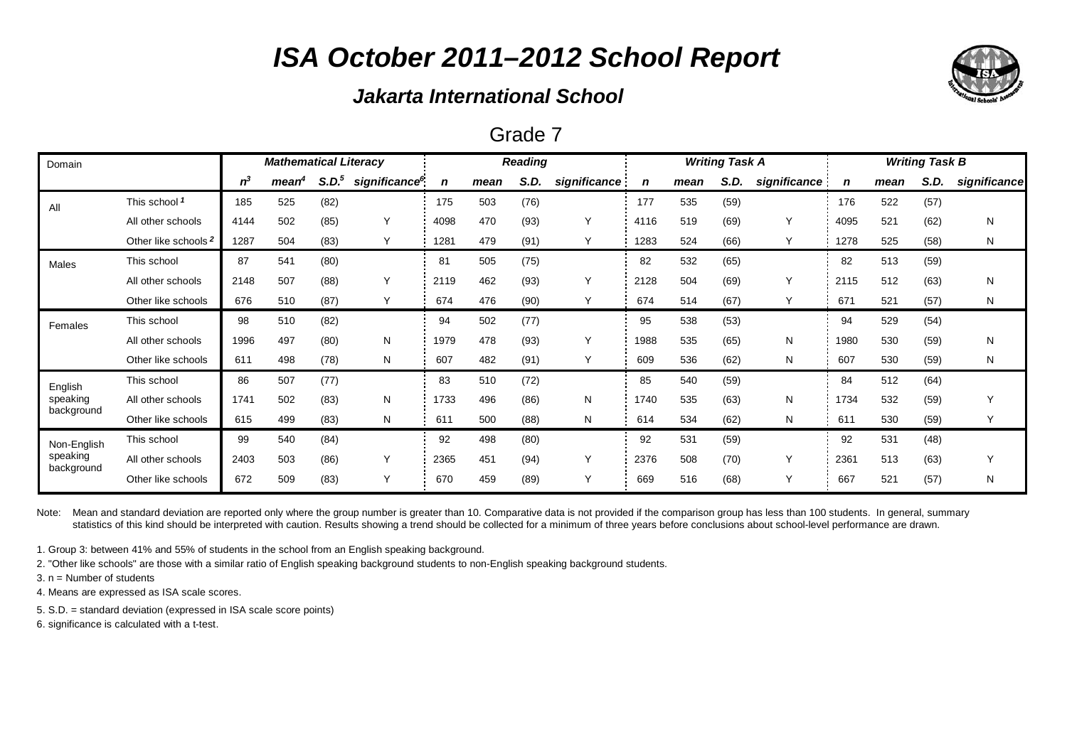### *Jakarta International School*

#### Grade 7

| Domain                 |                                 | <b>Mathematical Literacy</b> |                   |                   |                           |             |      | <b>Reading</b> |              |      |      | <b>Writing Task A</b> |              | <b>Writing Task B</b> |      |      |              |  |
|------------------------|---------------------------------|------------------------------|-------------------|-------------------|---------------------------|-------------|------|----------------|--------------|------|------|-----------------------|--------------|-----------------------|------|------|--------------|--|
|                        |                                 | $n^3$                        | mean <sup>#</sup> | S.D. <sup>5</sup> | significance <sup>6</sup> | $\mathbf n$ | mean | S.D.           | significance | n    | mean | S.D.                  | significance | n                     | mean | S.D. | significance |  |
| All                    | This school 1                   | 185                          | 525               | (82)              |                           | 175         | 503  | (76)           |              | 177  | 535  | (59)                  |              | 176                   | 522  | (57) |              |  |
|                        | All other schools               | 4144                         | 502               | (85)              | Υ                         | 4098        | 470  | (93)           | Y            | 4116 | 519  | (69)                  | Y            | 4095                  | 521  | (62) | N            |  |
|                        | Other like schools <sup>2</sup> | 1287                         | 504               | (83)              |                           | 1281        | 479  | (91)           | Υ            | 1283 | 524  | (66)                  |              | 1278                  | 525  | (58) | N            |  |
| Males                  | This school                     | 87                           | 541               | (80)              |                           | 81          | 505  | (75)           |              | 82   | 532  | (65)                  |              | 82                    | 513  | (59) |              |  |
|                        | All other schools               | 2148                         | 507               | (88)              | Y                         | 2119        | 462  | (93)           | Υ            | 2128 | 504  | (69)                  | Y            | 2115                  | 512  | (63) | N            |  |
|                        | Other like schools              | 676                          | 510               | (87)              |                           | 674         | 476  | (90)           | Υ            | 674  | 514  | (67)                  |              | 671                   | 521  | (57) | N            |  |
| Females                | This school                     | 98                           | 510               | (82)              |                           | 94          | 502  | (77)           |              | 95   | 538  | (53)                  |              | 94                    | 529  | (54) |              |  |
|                        | All other schools               | 1996                         | 497               | (80)              | N                         | 1979        | 478  | (93)           | Υ            | 1988 | 535  | (65)                  | N            | 1980                  | 530  | (59) | N            |  |
|                        | Other like schools              | 611                          | 498               | (78)              | N                         | 607         | 482  | (91)           | Y            | 609  | 536  | (62)                  | N            | 607                   | 530  | (59) | N            |  |
| English                | This school                     | 86                           | 507               | (77)              |                           | 83          | 510  | (72)           |              | 85   | 540  | (59)                  |              | 84                    | 512  | (64) |              |  |
| speaking               | All other schools               | 1741                         | 502               | (83)              | N                         | 1733        | 496  | (86)           | N            | 1740 | 535  | (63)                  | N            | 1734                  | 532  | (59) |              |  |
| background             | Other like schools              | 615                          | 499               | (83)              | N                         | 611         | 500  | (88)           | N            | 614  | 534  | (62)                  | N            | 611                   | 530  | (59) |              |  |
| Non-English            | This school                     | 99                           | 540               | (84)              |                           | 92          | 498  | (80)           |              | 92   | 531  | (59)                  |              | 92                    | 531  | (48) |              |  |
| speaking<br>background | All other schools               | 2403                         | 503               | (86)              | Υ                         | 2365        | 451  | (94)           | Υ            | 2376 | 508  | (70)                  | $\checkmark$ | 2361                  | 513  | (63) | ٧            |  |
|                        | Other like schools              | 672                          | 509               | (83)              | Υ                         | 670         | 459  | (89)           | Υ            | 669  | 516  | (68)                  |              | 667                   | 521  | (57) | N            |  |

Note: Mean and standard deviation are reported only where the group number is greater than 10. Comparative data is not provided if the comparison group has less than 100 students. In general, summary statistics of this kind should be interpreted with caution. Results showing a trend should be collected for a minimum of three years before conclusions about school-level performance are drawn.

1. Group 3: between 41% and 55% of students in the school from an English speaking background.

2. "Other like schools" are those with a similar ratio of English speaking background students to non-English speaking background students.

3. n = Number of students

4. Means are expressed as ISA scale scores.

5. S.D. = standard deviation (expressed in ISA scale score points)

6. significance is calculated with a t-test.

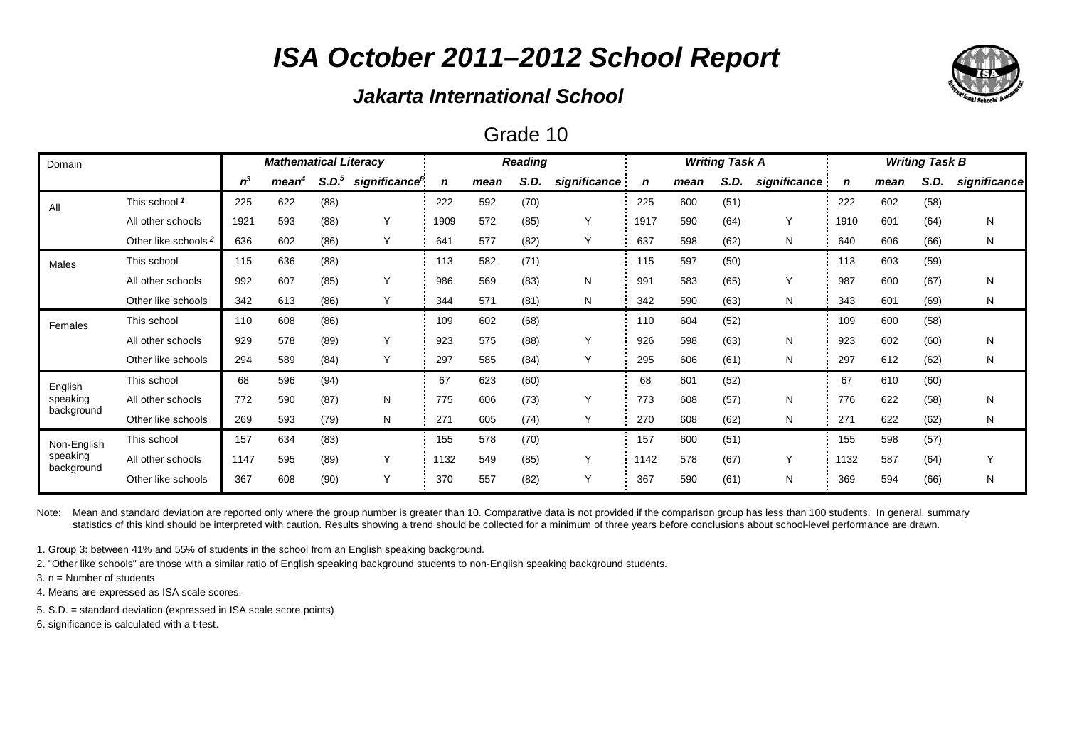### *Jakarta International School*

#### Grade 10

| Domain                 | <b>Mathematical Literacy</b>    |       |                   |                   | <b>Reading</b>            |      |      |      |              |      | <b>Writing Task A</b> |      | <b>Writing Task B</b> |      |      |      |              |
|------------------------|---------------------------------|-------|-------------------|-------------------|---------------------------|------|------|------|--------------|------|-----------------------|------|-----------------------|------|------|------|--------------|
|                        |                                 | $n^3$ | mean <sup>4</sup> | S.D. <sup>5</sup> | significance <sup>6</sup> | n    | mean | S.D. | significance | n    | mean                  | S.D. | significance          | n    | mean | S.D. | significance |
| All                    | This school 1                   | 225   | 622               | (88)              |                           | 222  | 592  | (70) |              | 225  | 600                   | (51) |                       | 222  | 602  | (58) |              |
|                        | All other schools               | 1921  | 593               | (88)              | Υ                         | 1909 | 572  | (85) | Y            | 1917 | 590                   | (64) | $\checkmark$          | 1910 | 601  | (64) | N            |
|                        | Other like schools <sup>2</sup> | 636   | 602               | (86)              | Υ                         | 641  | 577  | (82) | Y            | 637  | 598                   | (62) | N                     | 640  | 606  | (66) | N            |
| Males                  | This school                     | 115   | 636               | (88)              |                           | 113  | 582  | (71) |              | 115  | 597                   | (50) |                       | 113  | 603  | (59) |              |
|                        | All other schools               | 992   | 607               | (85)              | Υ                         | 986  | 569  | (83) | N            | 991  | 583                   | (65) | $\checkmark$          | 987  | 600  | (67) | N            |
|                        | Other like schools              | 342   | 613               | (86)              | Y                         | 344  | 571  | (81) | N            | 342  | 590                   | (63) | N                     | 343  | 601  | (69) | N            |
| Females                | This school                     | 110   | 608               | (86)              |                           | 109  | 602  | (68) |              | 110  | 604                   | (52) |                       | 109  | 600  | (58) |              |
|                        | All other schools               | 929   | 578               | (89)              | Υ                         | 923  | 575  | (88) | Y            | 926  | 598                   | (63) | N                     | 923  | 602  | (60) | N            |
|                        | Other like schools              | 294   | 589               | (84)              | Y                         | 297  | 585  | (84) | Y            | 295  | 606                   | (61) | N                     | 297  | 612  | (62) | N            |
| English                | This school                     | 68    | 596               | (94)              |                           | 67   | 623  | (60) |              | 68   | 601                   | (52) |                       | 67   | 610  | (60) |              |
| speaking               | All other schools               | 772   | 590               | (87)              | N                         | 775  | 606  | (73) | Y            | 773  | 608                   | (57) | N                     | 776  | 622  | (58) | N            |
| background             | Other like schools              | 269   | 593               | (79)              | N                         | 271  | 605  | (74) | Υ            | 270  | 608                   | (62) | N                     | 271  | 622  | (62) | N            |
| Non-English            | This school                     | 157   | 634               | (83)              |                           | 155  | 578  | (70) |              | 157  | 600                   | (51) |                       | 155  | 598  | (57) |              |
| speaking<br>background | All other schools               | 1147  | 595               | (89)              | Υ                         | 1132 | 549  | (85) | Y            | 1142 | 578                   | (67) | $\checkmark$          | 1132 | 587  | (64) | Υ            |
|                        | Other like schools              | 367   | 608               | (90)              | Y                         | 370  | 557  | (82) | Υ            | 367  | 590                   | (61) | N                     | 369  | 594  | (66) | N            |

Note: Mean and standard deviation are reported only where the group number is greater than 10. Comparative data is not provided if the comparison group has less than 100 students. In general, summary statistics of this kind should be interpreted with caution. Results showing a trend should be collected for a minimum of three years before conclusions about school-level performance are drawn.

1. Group 3: between 41% and 55% of students in the school from an English speaking background.

2. "Other like schools" are those with a similar ratio of English speaking background students to non-English speaking background students.

3. n = Number of students

4. Means are expressed as ISA scale scores.

5. S.D. = standard deviation (expressed in ISA scale score points)

6. significance is calculated with a t-test.

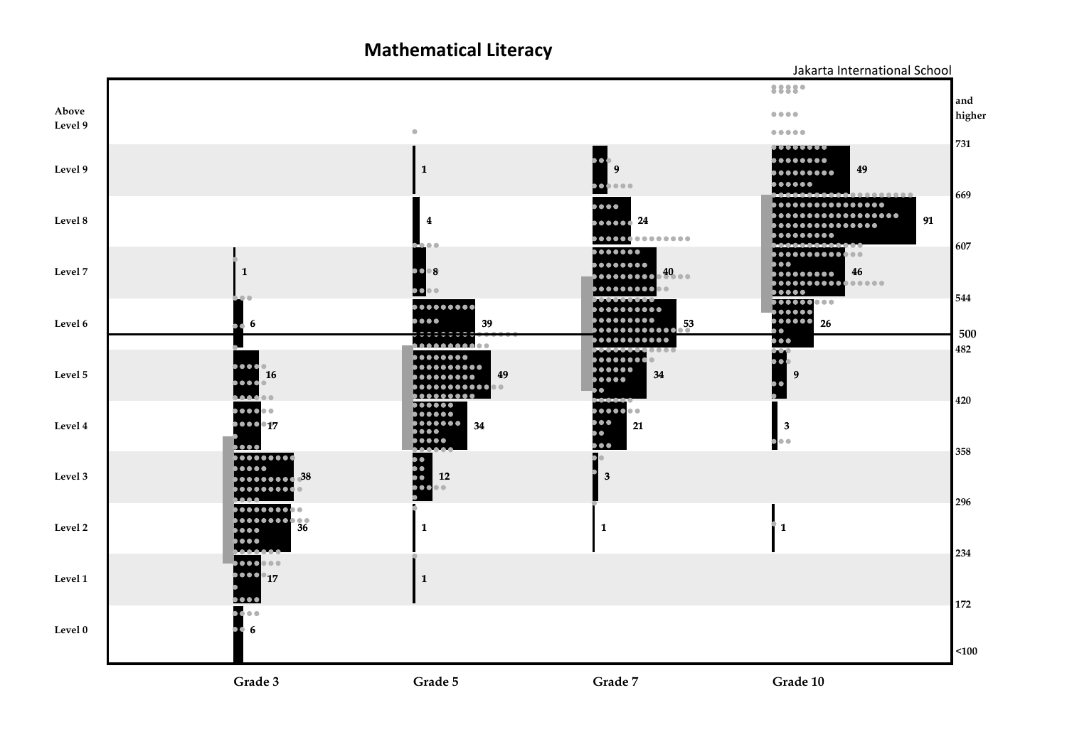**Mathematical Literacy**



**Grade 10**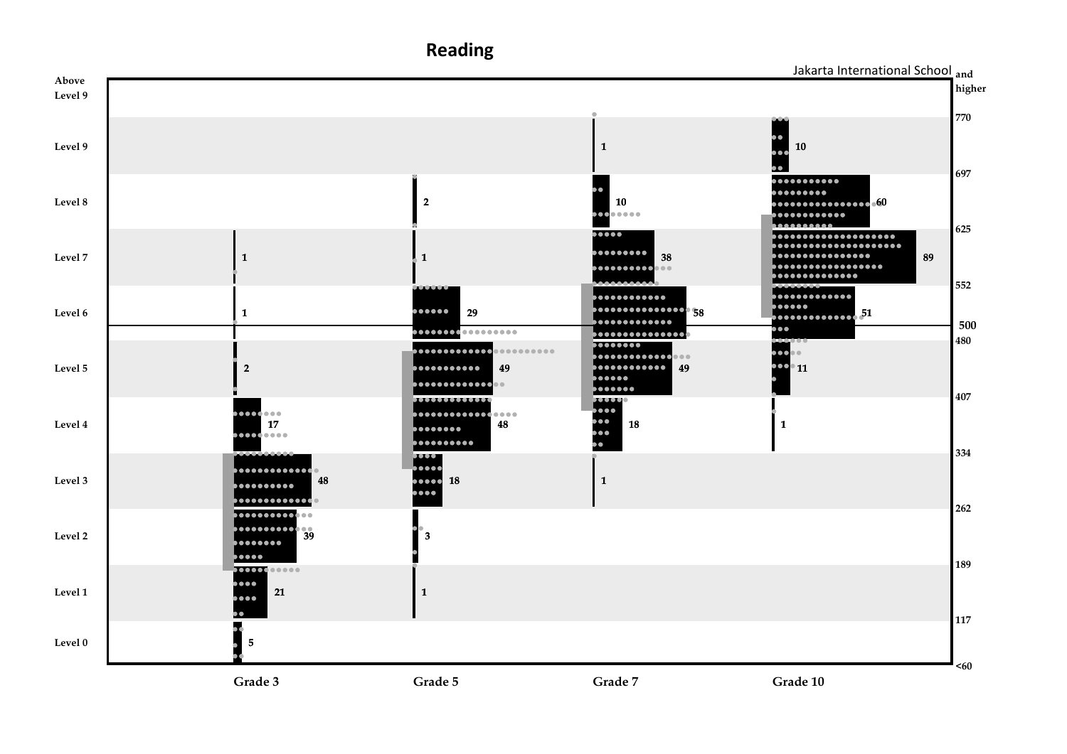**Reading and** Jakarta International School**Above higher Level 9 770Level 91 10 697**........... ......... **Level 8 2 10 60** ..... . . . . . . . . . . . . n. . . . . . . . . . . *.* **625**  $\bullet \bullet \bullet \bullet$ ....................  $\bullet \bullet \bullet \bullet \bullet \bullet \bullet \bullet$ **................ Level 7 1 1 38 89** .................  $\bullet \bullet \bullet \bullet \bullet \bullet \bullet \bullet \bullet$  $\bullet$ **.............. 552** . . . . . . . . . . . . . . . . . . . . . . . . . . . . . . . . **588888888888888888888888888888888888**  $\bullet \bullet \bullet \bullet \bullet \bullet$ **Level 6 1 29 51** ............. . . . . . . . . . . . . . . **500** 100 ................. **............... 480** 00000000  $\bullet \bullet \bullet$  $\bullet$ . . . . . . . . . . . . . . . . . . . . . . . . . . . . . .  $\bullet\bullet\bullet$ . . . . . . . . . . . . **Level 5 2 49 49 11** ...... . . . . . . . . . . . . . . . . . ....... **407** $\overline{\mathbf{u}}$  $III$  $\bullet\bullet\bullet$ **.............**.... ,,,,,,,,,  $\bullet \bullet$ **48Level 417 18 1** . . . . . . . . .  $\bullet$ . . . . . . . . . . ō **FREE 334** . . . . . . . . . . . . . . . . **Level 3 48 18 1** . . . . . . . . . . . .... . . . . . . . . . . . . . . **262** ............. **Level 2 39 3** . . . . . . . . . **poooo 189**  $\overline{\mathbf{11111}}$ .... **Level 1 21 1** ....  $\bullet$ **117** ۰ **Level 0 5 <60**

**Grade 3**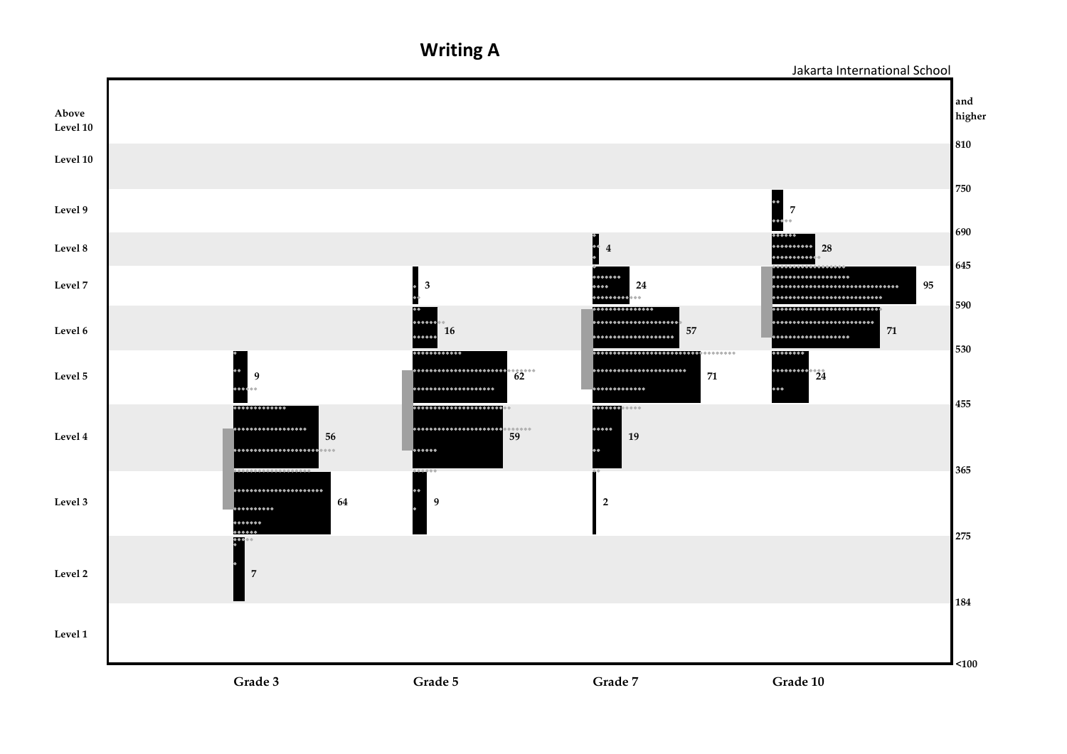**Writing A**